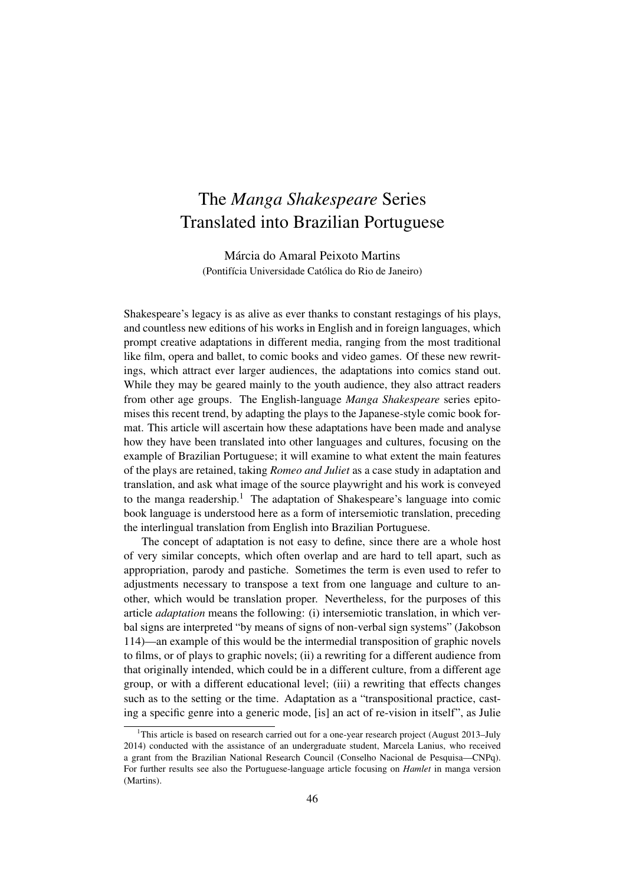# The *Manga Shakespeare* Series Translated into Brazilian Portuguese

Márcia do Amaral Peixoto Martins (Pontifícia Universidade Católica do Rio de Janeiro)

Shakespeare's legacy is as alive as ever thanks to constant restagings of his plays, and countless new editions of his works in English and in foreign languages, which prompt creative adaptations in different media, ranging from the most traditional like film, opera and ballet, to comic books and video games. Of these new rewritings, which attract ever larger audiences, the adaptations into comics stand out. While they may be geared mainly to the youth audience, they also attract readers from other age groups. The English-language *Manga Shakespeare* series epitomises this recent trend, by adapting the plays to the Japanese-style comic book format. This article will ascertain how these adaptations have been made and analyse how they have been translated into other languages and cultures, focusing on the example of Brazilian Portuguese; it will examine to what extent the main features of the plays are retained, taking *Romeo and Juliet* as a case study in adaptation and translation, and ask what image of the source playwright and his work is conveyed to the manga readership.<sup>1</sup> The adaptation of Shakespeare's language into comic book language is understood here as a form of intersemiotic translation, preceding the interlingual translation from English into Brazilian Portuguese.

The concept of adaptation is not easy to define, since there are a whole host of very similar concepts, which often overlap and are hard to tell apart, such as appropriation, parody and pastiche. Sometimes the term is even used to refer to adjustments necessary to transpose a text from one language and culture to another, which would be translation proper. Nevertheless, for the purposes of this article *adaptation* means the following: (i) intersemiotic translation, in which verbal signs are interpreted "by means of signs of non-verbal sign systems" (Jakobson 114)—an example of this would be the intermedial transposition of graphic novels to films, or of plays to graphic novels; (ii) a rewriting for a different audience from that originally intended, which could be in a different culture, from a different age group, or with a different educational level; (iii) a rewriting that effects changes such as to the setting or the time. Adaptation as a "transpositional practice, casting a specific genre into a generic mode, [is] an act of re-vision in itself", as Julie

<sup>&</sup>lt;sup>1</sup>This article is based on research carried out for a one-year research project (August 2013–July 2014) conducted with the assistance of an undergraduate student, Marcela Lanius, who received a grant from the Brazilian National Research Council (Conselho Nacional de Pesquisa—CNPq). For further results see also the Portuguese-language article focusing on *Hamlet* in manga version (Martins).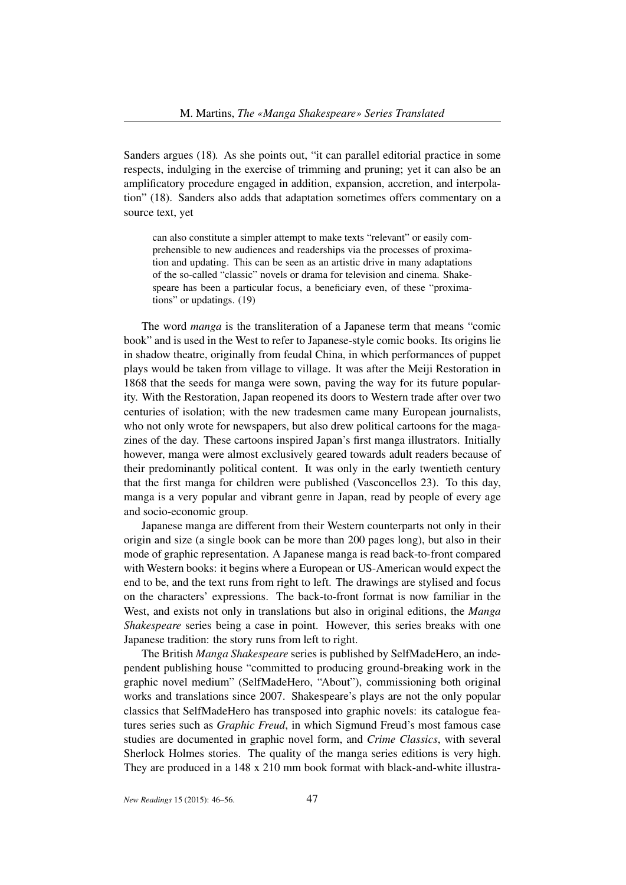Sanders argues (18)*.* As she points out, "it can parallel editorial practice in some respects, indulging in the exercise of trimming and pruning; yet it can also be an amplificatory procedure engaged in addition, expansion, accretion, and interpolation" (18). Sanders also adds that adaptation sometimes offers commentary on a source text, yet

can also constitute a simpler attempt to make texts "relevant" or easily comprehensible to new audiences and readerships via the processes of proximation and updating. This can be seen as an artistic drive in many adaptations of the so-called "classic" novels or drama for television and cinema. Shakespeare has been a particular focus, a beneficiary even, of these "proximations" or updatings. (19)

The word *manga* is the transliteration of a Japanese term that means "comic book" and is used in the West to refer to Japanese-style comic books. Its origins lie in shadow theatre, originally from feudal China, in which performances of puppet plays would be taken from village to village. It was after the Meiji Restoration in 1868 that the seeds for manga were sown, paving the way for its future popularity. With the Restoration, Japan reopened its doors to Western trade after over two centuries of isolation; with the new tradesmen came many European journalists, who not only wrote for newspapers, but also drew political cartoons for the magazines of the day. These cartoons inspired Japan's first manga illustrators. Initially however, manga were almost exclusively geared towards adult readers because of their predominantly political content. It was only in the early twentieth century that the first manga for children were published (Vasconcellos 23). To this day, manga is a very popular and vibrant genre in Japan, read by people of every age and socio-economic group.

Japanese manga are different from their Western counterparts not only in their origin and size (a single book can be more than 200 pages long), but also in their mode of graphic representation. A Japanese manga is read back-to-front compared with Western books: it begins where a European or US-American would expect the end to be, and the text runs from right to left. The drawings are stylised and focus on the characters' expressions. The back-to-front format is now familiar in the West, and exists not only in translations but also in original editions, the *Manga Shakespeare* series being a case in point. However, this series breaks with one Japanese tradition: the story runs from left to right.

The British *Manga Shakespeare* series is published by SelfMadeHero, an independent publishing house "committed to producing ground-breaking work in the graphic novel medium" (SelfMadeHero, "About"), commissioning both original works and translations since 2007. Shakespeare's plays are not the only popular classics that SelfMadeHero has transposed into graphic novels: its catalogue features series such as *Graphic Freud*, in which Sigmund Freud's most famous case studies are documented in graphic novel form, and *Crime Classics*, with several Sherlock Holmes stories. The quality of the manga series editions is very high. They are produced in a 148 x 210 mm book format with black-and-white illustra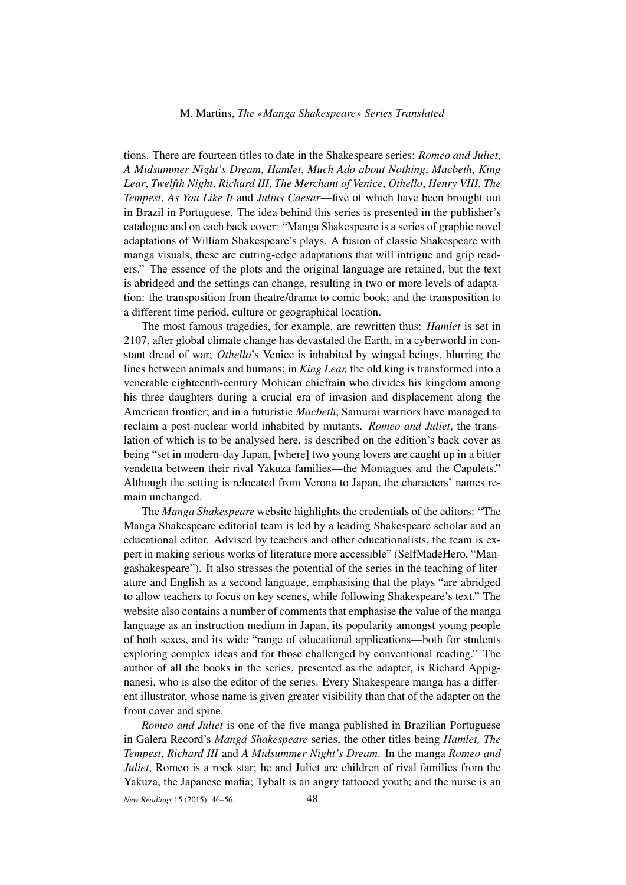tions. There are fourteen titles to date in the Shakespeare series: *Romeo and Juliet*, *A Midsummer Night's Dream*, *Hamlet*, *Much Ado about Nothing*, *Macbeth*, *King Lear*, *Twelfth Night*, *Richard III*, *The Merchant of Venice*, *Othello*, *Henry VIII*, *The Tempest*, *As You Like It* and *Julius Caesar*—five of which have been brought out in Brazil in Portuguese. The idea behind this series is presented in the publisher's catalogue and on each back cover: "Manga Shakespeare is a series of graphic novel adaptations of William Shakespeare's plays. A fusion of classic Shakespeare with manga visuals, these are cutting-edge adaptations that will intrigue and grip readers." The essence of the plots and the original language are retained, but the text is abridged and the settings can change, resulting in two or more levels of adaptation: the transposition from theatre/drama to comic book; and the transposition to a different time period, culture or geographical location.

The most famous tragedies, for example, are rewritten thus: *Hamlet* is set in 2107, after global climate change has devastated the Earth, in a cyberworld in constant dread of war; *Othello*'s Venice is inhabited by winged beings, blurring the lines between animals and humans; in *King Lear,* the old king is transformed into a venerable eighteenth-century Mohican chieftain who divides his kingdom among his three daughters during a crucial era of invasion and displacement along the American frontier; and in a futuristic *Macbeth*, Samurai warriors have managed to reclaim a post-nuclear world inhabited by mutants. *Romeo and Juliet*, the translation of which is to be analysed here, is described on the edition's back cover as being "set in modern-day Japan, [where] two young lovers are caught up in a bitter vendetta between their rival Yakuza families—the Montagues and the Capulets." Although the setting is relocated from Verona to Japan, the characters' names remain unchanged.

The *Manga Shakespeare* website highlights the credentials of the editors: "The Manga Shakespeare editorial team is led by a leading Shakespeare scholar and an educational editor. Advised by teachers and other educationalists, the team is expert in making serious works of literature more accessible" (SelfMadeHero, "Mangashakespeare"). It also stresses the potential of the series in the teaching of literature and English as a second language, emphasising that the plays "are abridged to allow teachers to focus on key scenes, while following Shakespeare's text." The website also contains a number of comments that emphasise the value of the manga language as an instruction medium in Japan, its popularity amongst young people of both sexes, and its wide "range of educational applications—both for students exploring complex ideas and for those challenged by conventional reading." The author of all the books in the series, presented as the adapter, is Richard Appignanesi, who is also the editor of the series. Every Shakespeare manga has a different illustrator, whose name is given greater visibility than that of the adapter on the front cover and spine.

*Romeo and Juliet* is one of the five manga published in Brazilian Portuguese in Galera Record's *Mangá Shakespeare* series, the other titles being *Hamlet, The Tempest*, *Richard III* and *A Midsummer Night's Dream*. In the manga *Romeo and Juliet*, Romeo is a rock star; he and Juliet are children of rival families from the Yakuza, the Japanese mafia; Tybalt is an angry tattooed youth; and the nurse is an

*New Readings* 15 (2015): 46–56. 48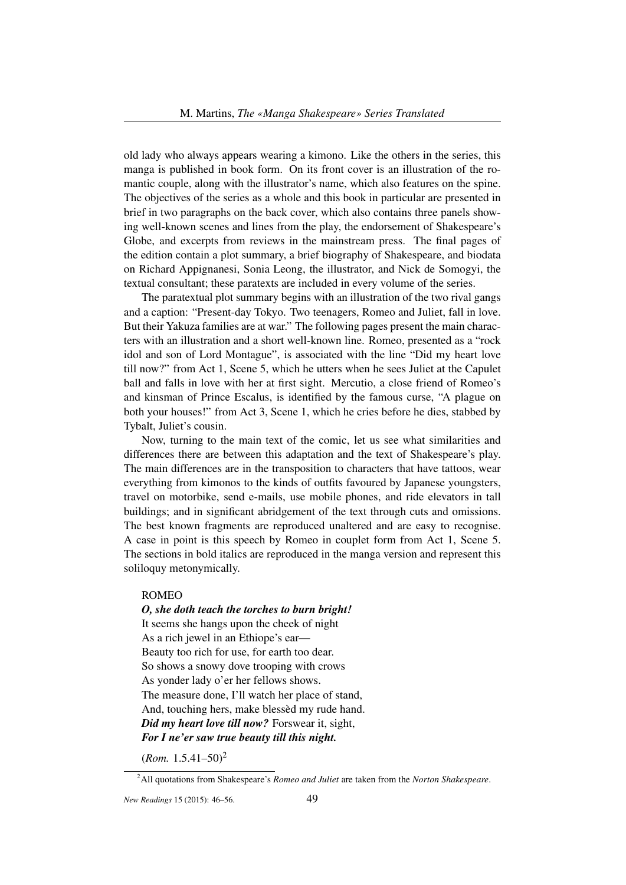old lady who always appears wearing a kimono. Like the others in the series, this manga is published in book form. On its front cover is an illustration of the romantic couple, along with the illustrator's name, which also features on the spine. The objectives of the series as a whole and this book in particular are presented in brief in two paragraphs on the back cover, which also contains three panels showing well-known scenes and lines from the play, the endorsement of Shakespeare's Globe, and excerpts from reviews in the mainstream press. The final pages of the edition contain a plot summary, a brief biography of Shakespeare, and biodata on Richard Appignanesi, Sonia Leong, the illustrator, and Nick de Somogyi, the textual consultant; these paratexts are included in every volume of the series.

The paratextual plot summary begins with an illustration of the two rival gangs and a caption: "Present-day Tokyo. Two teenagers, Romeo and Juliet, fall in love. But their Yakuza families are at war." The following pages present the main characters with an illustration and a short well-known line. Romeo, presented as a "rock idol and son of Lord Montague", is associated with the line "Did my heart love till now?" from Act 1, Scene 5, which he utters when he sees Juliet at the Capulet ball and falls in love with her at first sight. Mercutio, a close friend of Romeo's and kinsman of Prince Escalus, is identified by the famous curse, "A plague on both your houses!" from Act 3, Scene 1, which he cries before he dies, stabbed by Tybalt, Juliet's cousin.

Now, turning to the main text of the comic, let us see what similarities and differences there are between this adaptation and the text of Shakespeare's play. The main differences are in the transposition to characters that have tattoos, wear everything from kimonos to the kinds of outfits favoured by Japanese youngsters, travel on motorbike, send e-mails, use mobile phones, and ride elevators in tall buildings; and in significant abridgement of the text through cuts and omissions. The best known fragments are reproduced unaltered and are easy to recognise. A case in point is this speech by Romeo in couplet form from Act 1, Scene 5. The sections in bold italics are reproduced in the manga version and represent this soliloquy metonymically.

## ROMEO

#### *O, she doth teach the torches to burn bright!*

It seems she hangs upon the cheek of night As a rich jewel in an Ethiope's ear— Beauty too rich for use, for earth too dear. So shows a snowy dove trooping with crows As yonder lady o'er her fellows shows. The measure done, I'll watch her place of stand, And, touching hers, make blessèd my rude hand. *Did my heart love till now?* Forswear it, sight, *For I ne'er saw true beauty till this night.*

 $(Rom. 1.5.41 - 50)^2$ 

<sup>2</sup>All quotations from Shakespeare's *Romeo and Juliet* are taken from the *Norton Shakespeare*.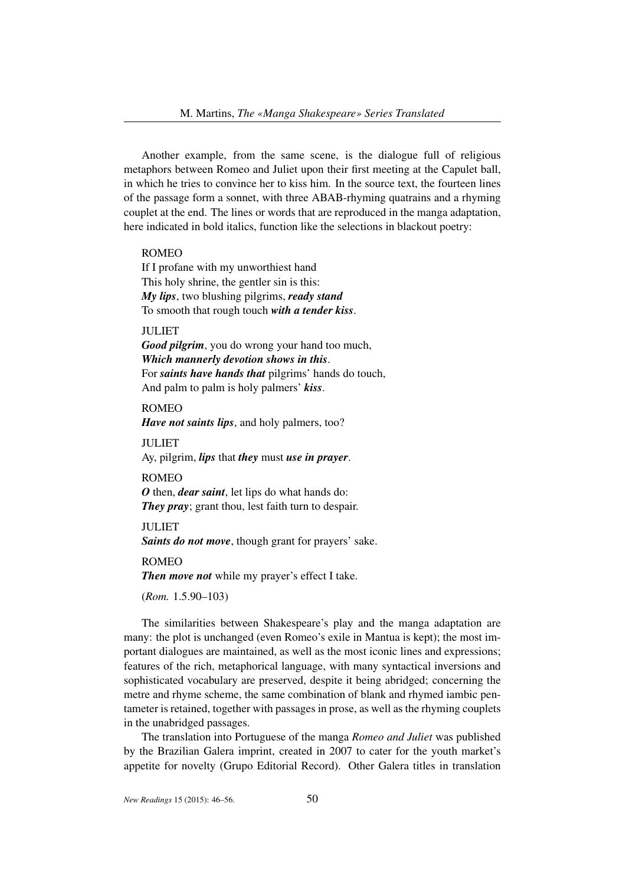Another example, from the same scene, is the dialogue full of religious metaphors between Romeo and Juliet upon their first meeting at the Capulet ball, in which he tries to convince her to kiss him. In the source text, the fourteen lines of the passage form a sonnet, with three ABAB-rhyming quatrains and a rhyming couplet at the end. The lines or words that are reproduced in the manga adaptation, here indicated in bold italics, function like the selections in blackout poetry:

### ROMEO

If I profane with my unworthiest hand This holy shrine, the gentler sin is this: *My lips*, two blushing pilgrims, *ready stand* To smooth that rough touch *with a tender kiss*.

## **JULIET**

*Good pilgrim*, you do wrong your hand too much, *Which mannerly devotion shows in this*. For *saints have hands that* pilgrims' hands do touch, And palm to palm is holy palmers' *kiss*.

# ROMEO

*Have not saints lips*, and holy palmers, too?

#### JULIET

Ay, pilgrim, *lips* that *they* must *use in prayer*.

#### ROMEO

*O* then, *dear saint*, let lips do what hands do: *They pray*; grant thou, lest faith turn to despair.

# JULIET

*Saints do not move*, though grant for prayers' sake.

#### ROMEO

*Then move not* while my prayer's effect I take.

### (*Rom.* 1.5.90–103)

The similarities between Shakespeare's play and the manga adaptation are many: the plot is unchanged (even Romeo's exile in Mantua is kept); the most important dialogues are maintained, as well as the most iconic lines and expressions; features of the rich, metaphorical language, with many syntactical inversions and sophisticated vocabulary are preserved, despite it being abridged; concerning the metre and rhyme scheme, the same combination of blank and rhymed iambic pentameter is retained, together with passages in prose, as well as the rhyming couplets in the unabridged passages.

The translation into Portuguese of the manga *Romeo and Juliet* was published by the Brazilian Galera imprint, created in 2007 to cater for the youth market's appetite for novelty (Grupo Editorial Record). Other Galera titles in translation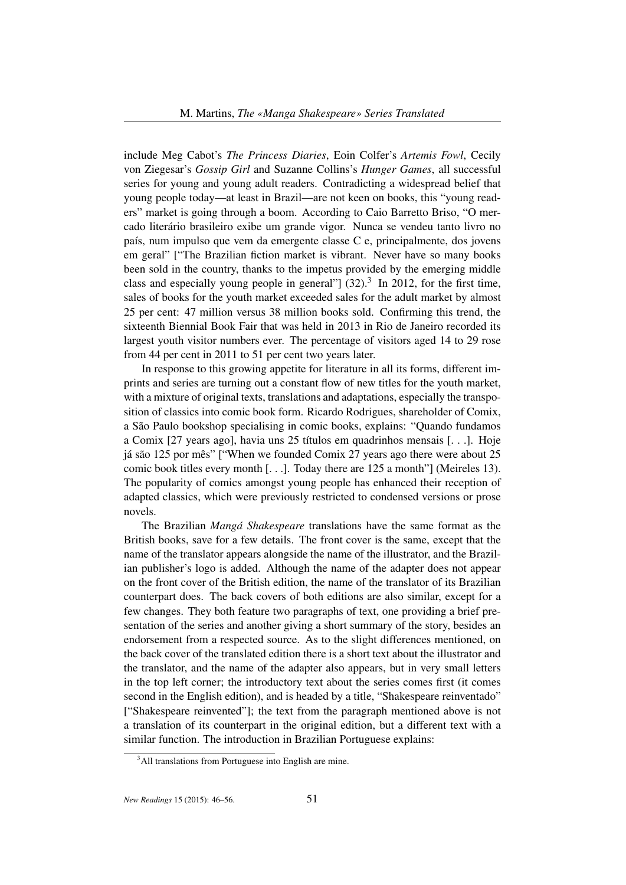include Meg Cabot's *The Princess Diaries*, Eoin Colfer's *Artemis Fowl*, Cecily von Ziegesar's *Gossip Girl* and Suzanne Collins's *Hunger Games*, all successful series for young and young adult readers. Contradicting a widespread belief that young people today—at least in Brazil—are not keen on books, this "young readers" market is going through a boom. According to Caio Barretto Briso, "O mercado literário brasileiro exibe um grande vigor. Nunca se vendeu tanto livro no país, num impulso que vem da emergente classe C e, principalmente, dos jovens em geral" ["The Brazilian fiction market is vibrant. Never have so many books been sold in the country, thanks to the impetus provided by the emerging middle class and especially young people in general"]  $(32).<sup>3</sup>$  In 2012, for the first time, sales of books for the youth market exceeded sales for the adult market by almost 25 per cent: 47 million versus 38 million books sold. Confirming this trend, the sixteenth Biennial Book Fair that was held in 2013 in Rio de Janeiro recorded its largest youth visitor numbers ever. The percentage of visitors aged 14 to 29 rose from 44 per cent in 2011 to 51 per cent two years later.

In response to this growing appetite for literature in all its forms, different imprints and series are turning out a constant flow of new titles for the youth market, with a mixture of original texts, translations and adaptations, especially the transposition of classics into comic book form. Ricardo Rodrigues, shareholder of Comix, a São Paulo bookshop specialising in comic books, explains: "Quando fundamos a Comix [27 years ago], havia uns 25 títulos em quadrinhos mensais [. . .]. Hoje já são 125 por mês" ["When we founded Comix 27 years ago there were about 25 comic book titles every month [. . .]. Today there are 125 a month"] (Meireles 13). The popularity of comics amongst young people has enhanced their reception of adapted classics, which were previously restricted to condensed versions or prose novels.

The Brazilian *Mangá Shakespeare* translations have the same format as the British books, save for a few details. The front cover is the same, except that the name of the translator appears alongside the name of the illustrator, and the Brazilian publisher's logo is added. Although the name of the adapter does not appear on the front cover of the British edition, the name of the translator of its Brazilian counterpart does. The back covers of both editions are also similar, except for a few changes. They both feature two paragraphs of text, one providing a brief presentation of the series and another giving a short summary of the story, besides an endorsement from a respected source. As to the slight differences mentioned, on the back cover of the translated edition there is a short text about the illustrator and the translator, and the name of the adapter also appears, but in very small letters in the top left corner; the introductory text about the series comes first (it comes second in the English edition), and is headed by a title, "Shakespeare reinventado" ["Shakespeare reinvented"]; the text from the paragraph mentioned above is not a translation of its counterpart in the original edition, but a different text with a similar function. The introduction in Brazilian Portuguese explains:

 $3$ All translations from Portuguese into English are mine.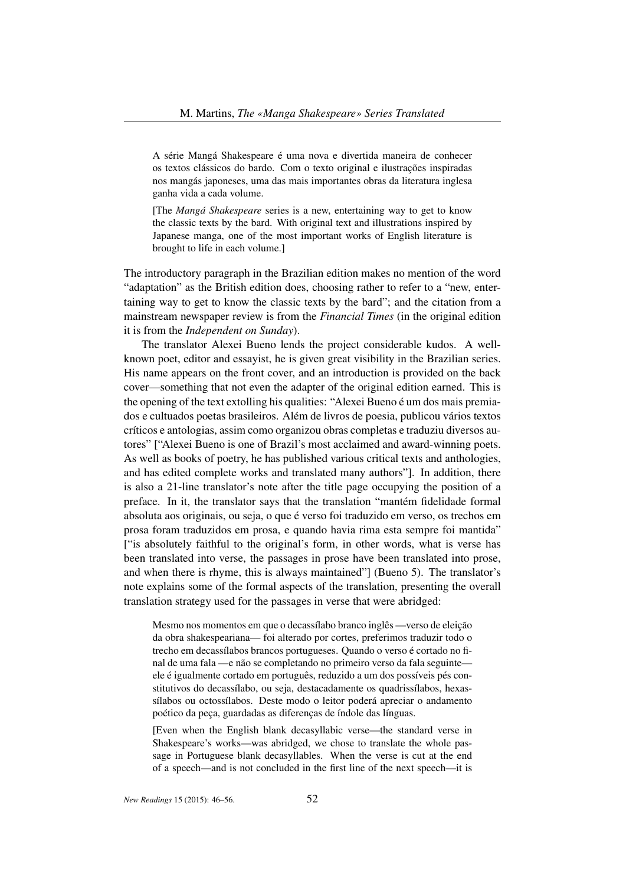A série Mangá Shakespeare é uma nova e divertida maneira de conhecer os textos clássicos do bardo. Com o texto original e ilustrações inspiradas nos mangás japoneses, uma das mais importantes obras da literatura inglesa ganha vida a cada volume.

[The *Mangá Shakespeare* series is a new, entertaining way to get to know the classic texts by the bard. With original text and illustrations inspired by Japanese manga, one of the most important works of English literature is brought to life in each volume.]

The introductory paragraph in the Brazilian edition makes no mention of the word "adaptation" as the British edition does, choosing rather to refer to a "new, entertaining way to get to know the classic texts by the bard"; and the citation from a mainstream newspaper review is from the *Financial Times* (in the original edition it is from the *Independent on Sunday*).

The translator Alexei Bueno lends the project considerable kudos. A wellknown poet, editor and essayist, he is given great visibility in the Brazilian series. His name appears on the front cover, and an introduction is provided on the back cover—something that not even the adapter of the original edition earned. This is the opening of the text extolling his qualities: "Alexei Bueno é um dos mais premiados e cultuados poetas brasileiros. Além de livros de poesia, publicou vários textos críticos e antologias, assim como organizou obras completas e traduziu diversos autores" ["Alexei Bueno is one of Brazil's most acclaimed and award-winning poets. As well as books of poetry, he has published various critical texts and anthologies, and has edited complete works and translated many authors"]. In addition, there is also a 21-line translator's note after the title page occupying the position of a preface. In it, the translator says that the translation "mantém fidelidade formal absoluta aos originais, ou seja, o que é verso foi traduzido em verso, os trechos em prosa foram traduzidos em prosa, e quando havia rima esta sempre foi mantida" ["is absolutely faithful to the original's form, in other words, what is verse has been translated into verse, the passages in prose have been translated into prose, and when there is rhyme, this is always maintained"] (Bueno 5). The translator's note explains some of the formal aspects of the translation, presenting the overall translation strategy used for the passages in verse that were abridged:

Mesmo nos momentos em que o decassílabo branco inglês —verso de eleição da obra shakespeariana— foi alterado por cortes, preferimos traduzir todo o trecho em decassílabos brancos portugueses. Quando o verso é cortado no final de uma fala —e não se completando no primeiro verso da fala seguinte ele é igualmente cortado em português, reduzido a um dos possíveis pés constitutivos do decassílabo, ou seja, destacadamente os quadrissílabos, hexassílabos ou octossílabos. Deste modo o leitor poderá apreciar o andamento poético da peça, guardadas as diferenças de índole das línguas.

[Even when the English blank decasyllabic verse—the standard verse in Shakespeare's works—was abridged, we chose to translate the whole passage in Portuguese blank decasyllables. When the verse is cut at the end of a speech—and is not concluded in the first line of the next speech—it is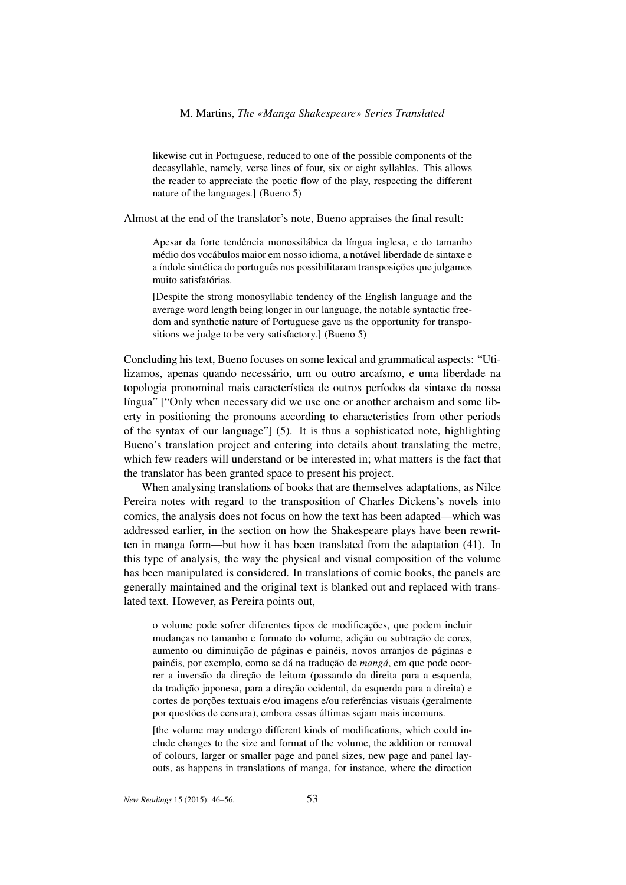likewise cut in Portuguese, reduced to one of the possible components of the decasyllable, namely, verse lines of four, six or eight syllables. This allows the reader to appreciate the poetic flow of the play, respecting the different nature of the languages.] (Bueno 5)

Almost at the end of the translator's note, Bueno appraises the final result:

Apesar da forte tendência monossilábica da língua inglesa, e do tamanho médio dos vocábulos maior em nosso idioma, a notável liberdade de sintaxe e a índole sintética do português nos possibilitaram transposições que julgamos muito satisfatórias.

[Despite the strong monosyllabic tendency of the English language and the average word length being longer in our language, the notable syntactic freedom and synthetic nature of Portuguese gave us the opportunity for transpositions we judge to be very satisfactory.] (Bueno 5)

Concluding his text, Bueno focuses on some lexical and grammatical aspects: "Utilizamos, apenas quando necessário, um ou outro arcaísmo, e uma liberdade na topologia pronominal mais característica de outros períodos da sintaxe da nossa língua" ["Only when necessary did we use one or another archaism and some liberty in positioning the pronouns according to characteristics from other periods of the syntax of our language"] (5). It is thus a sophisticated note, highlighting Bueno's translation project and entering into details about translating the metre, which few readers will understand or be interested in; what matters is the fact that the translator has been granted space to present his project.

When analysing translations of books that are themselves adaptations, as Nilce Pereira notes with regard to the transposition of Charles Dickens's novels into comics, the analysis does not focus on how the text has been adapted—which was addressed earlier, in the section on how the Shakespeare plays have been rewritten in manga form—but how it has been translated from the adaptation (41). In this type of analysis, the way the physical and visual composition of the volume has been manipulated is considered. In translations of comic books, the panels are generally maintained and the original text is blanked out and replaced with translated text. However, as Pereira points out,

o volume pode sofrer diferentes tipos de modificações, que podem incluir mudanças no tamanho e formato do volume, adição ou subtração de cores, aumento ou diminuição de páginas e painéis, novos arranjos de páginas e painéis, por exemplo, como se dá na tradução de *mangá*, em que pode ocorrer a inversão da direção de leitura (passando da direita para a esquerda, da tradição japonesa, para a direção ocidental, da esquerda para a direita) e cortes de porções textuais e/ou imagens e/ou referências visuais (geralmente por questões de censura), embora essas últimas sejam mais incomuns.

[the volume may undergo different kinds of modifications, which could include changes to the size and format of the volume, the addition or removal of colours, larger or smaller page and panel sizes, new page and panel layouts, as happens in translations of manga, for instance, where the direction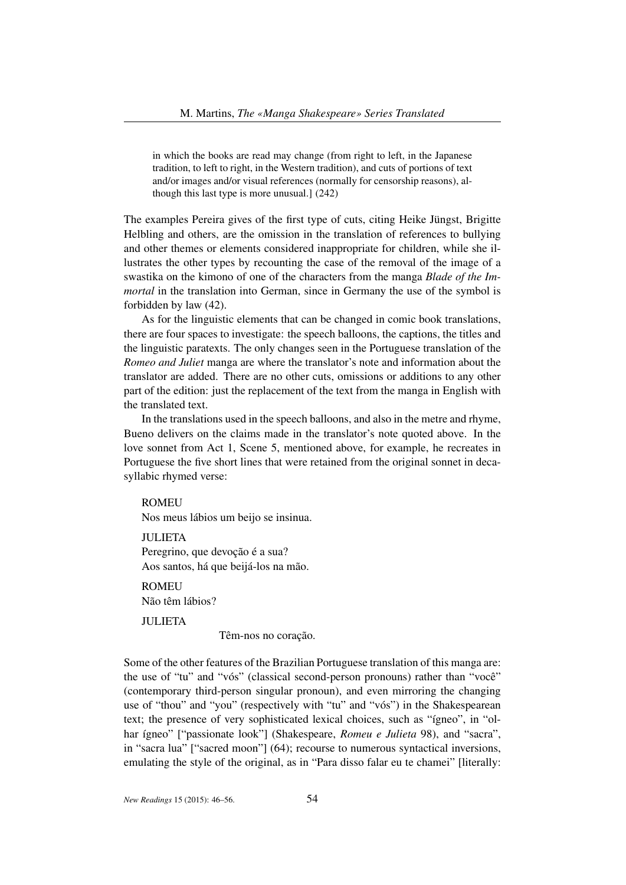in which the books are read may change (from right to left, in the Japanese tradition, to left to right, in the Western tradition), and cuts of portions of text and/or images and/or visual references (normally for censorship reasons), although this last type is more unusual.] (242)

The examples Pereira gives of the first type of cuts, citing Heike Jüngst, Brigitte Helbling and others, are the omission in the translation of references to bullying and other themes or elements considered inappropriate for children, while she illustrates the other types by recounting the case of the removal of the image of a swastika on the kimono of one of the characters from the manga *Blade of the Immortal* in the translation into German, since in Germany the use of the symbol is forbidden by law (42).

As for the linguistic elements that can be changed in comic book translations, there are four spaces to investigate: the speech balloons, the captions, the titles and the linguistic paratexts. The only changes seen in the Portuguese translation of the *Romeo and Juliet* manga are where the translator's note and information about the translator are added. There are no other cuts, omissions or additions to any other part of the edition: just the replacement of the text from the manga in English with the translated text.

In the translations used in the speech balloons, and also in the metre and rhyme, Bueno delivers on the claims made in the translator's note quoted above. In the love sonnet from Act 1, Scene 5, mentioned above, for example, he recreates in Portuguese the five short lines that were retained from the original sonnet in decasyllabic rhymed verse:

**ROMEU** 

Nos meus lábios um beijo se insinua.

JULIETA Peregrino, que devoção é a sua? Aos santos, há que beijá-los na mão.

**ROMELI** Não têm lábios?

JULIETA

Têm-nos no coração.

Some of the other features of the Brazilian Portuguese translation of this manga are: the use of "tu" and "vós" (classical second-person pronouns) rather than "você" (contemporary third-person singular pronoun), and even mirroring the changing use of "thou" and "you" (respectively with "tu" and "vós") in the Shakespearean text; the presence of very sophisticated lexical choices, such as "ígneo", in "olhar ígneo" ["passionate look"] (Shakespeare, *Romeu e Julieta* 98), and "sacra", in "sacra lua" ["sacred moon"] (64); recourse to numerous syntactical inversions, emulating the style of the original, as in "Para disso falar eu te chamei" [literally: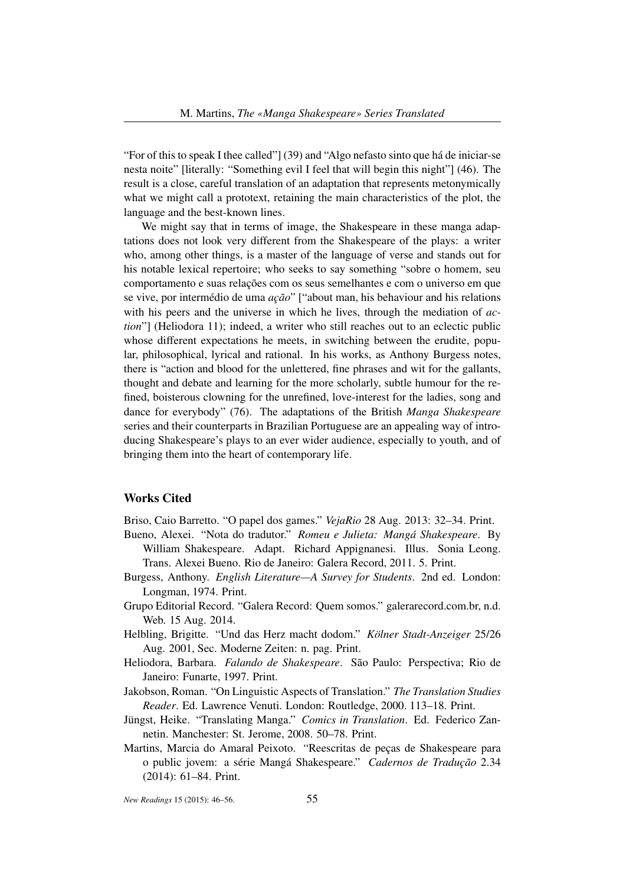"For of this to speak I thee called"] (39) and "Algo nefasto sinto que há de iniciar-se nesta noite" [literally: "Something evil I feel that will begin this night"] (46). The result is a close, careful translation of an adaptation that represents metonymically what we might call a prototext, retaining the main characteristics of the plot, the language and the best-known lines.

We might say that in terms of image, the Shakespeare in these manga adaptations does not look very different from the Shakespeare of the plays: a writer who, among other things, is a master of the language of verse and stands out for his notable lexical repertoire; who seeks to say something "sobre o homem, seu comportamento e suas relações com os seus semelhantes e com o universo em que se vive, por intermédio de uma *ação*" ["about man, his behaviour and his relations with his peers and the universe in which he lives, through the mediation of *action*"] (Heliodora 11); indeed, a writer who still reaches out to an eclectic public whose different expectations he meets, in switching between the erudite, popular, philosophical, lyrical and rational. In his works, as Anthony Burgess notes, there is "action and blood for the unlettered, fine phrases and wit for the gallants, thought and debate and learning for the more scholarly, subtle humour for the refined, boisterous clowning for the unrefined, love-interest for the ladies, song and dance for everybody" (76). The adaptations of the British *Manga Shakespeare* series and their counterparts in Brazilian Portuguese are an appealing way of introducing Shakespeare's plays to an ever wider audience, especially to youth, and of bringing them into the heart of contemporary life.

## Works Cited

Briso, Caio Barretto. "O papel dos games." *VejaRio* 28 Aug. 2013: 32–34. Print.

- Bueno, Alexei. "Nota do tradutor." *Romeu e Julieta: Mangá Shakespeare*. By William Shakespeare. Adapt. Richard Appignanesi. Illus. Sonia Leong. Trans. Alexei Bueno. Rio de Janeiro: Galera Record, 2011. 5. Print.
- Burgess, Anthony. *English Literature—A Survey for Students*. 2nd ed. London: Longman, 1974. Print.
- Grupo Editorial Record. "Galera Record: Quem somos." galerarecord.com.br, n.d. Web. 15 Aug. 2014.
- Helbling, Brigitte. "Und das Herz macht dodom." *Kölner Stadt-Anzeiger* 25/26 Aug. 2001, Sec. Moderne Zeiten: n. pag. Print.
- Heliodora, Barbara. *Falando de Shakespeare*. São Paulo: Perspectiva; Rio de Janeiro: Funarte, 1997. Print.
- Jakobson, Roman. "On Linguistic Aspects of Translation." *The Translation Studies Reader*. Ed. Lawrence Venuti. London: Routledge, 2000. 113–18. Print.
- Jüngst, Heike. "Translating Manga." *Comics in Translation*. Ed. Federico Zannetin. Manchester: St. Jerome, 2008. 50–78. Print.
- Martins, Marcia do Amaral Peixoto. "Reescritas de peças de Shakespeare para o public jovem: a série Mangá Shakespeare." *Cadernos de Tradução* 2.34 (2014): 61–84. Print.

*New Readings* 15 (2015): 46–56. 55